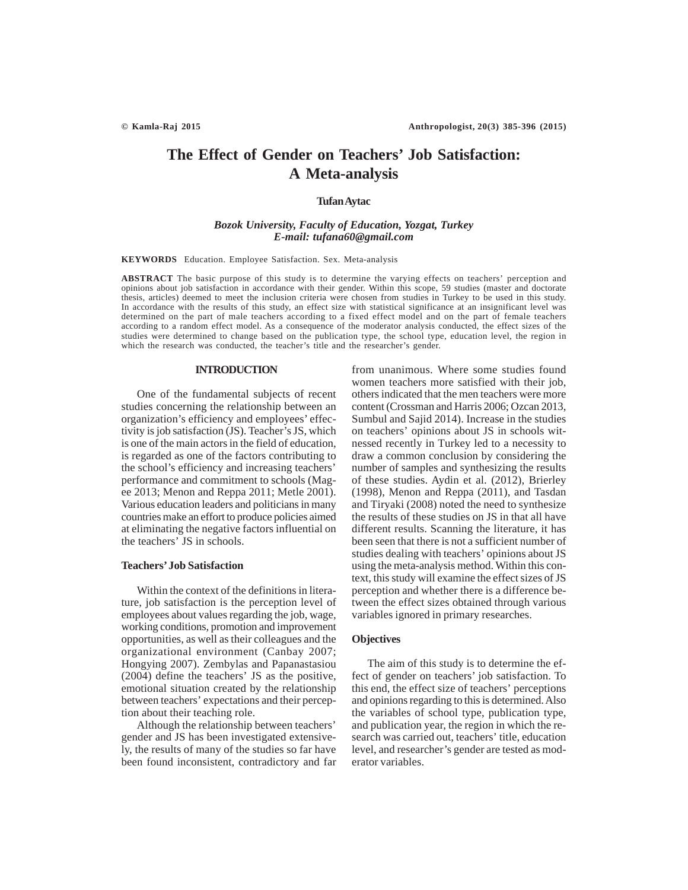# **The Effect of Gender on Teachers' Job Satisfaction: A Meta-analysis**

#### **Tufan Aytac**

# *Bozok University, Faculty of Education, Yozgat, Turkey E-mail: tufana60@gmail.com*

**KEYWORDS** Education. Employee Satisfaction. Sex. Meta-analysis

**ABSTRACT** The basic purpose of this study is to determine the varying effects on teachers' perception and opinions about job satisfaction in accordance with their gender. Within this scope, 59 studies (master and doctorate thesis, articles) deemed to meet the inclusion criteria were chosen from studies in Turkey to be used in this study. In accordance with the results of this study, an effect size with statistical significance at an insignificant level was determined on the part of male teachers according to a fixed effect model and on the part of female teachers according to a random effect model. As a consequence of the moderator analysis conducted, the effect sizes of the studies were determined to change based on the publication type, the school type, education level, the region in which the research was conducted, the teacher's title and the researcher's gender.

#### **INTRODUCTION**

One of the fundamental subjects of recent studies concerning the relationship between an organization's efficiency and employees' effectivity is job satisfaction (JS). Teacher's JS, which is one of the main actors in the field of education, is regarded as one of the factors contributing to the school's efficiency and increasing teachers' performance and commitment to schools (Magee 2013; Menon and Reppa 2011; Metle 2001). Various education leaders and politicians in many countries make an effort to produce policies aimed at eliminating the negative factors influential on the teachers' JS in schools.

#### **Teachers' Job Satisfaction**

Within the context of the definitions in literature, job satisfaction is the perception level of employees about values regarding the job, wage, working conditions, promotion and improvement opportunities, as well as their colleagues and the organizational environment (Canbay 2007; Hongying 2007). Zembylas and Papanastasiou (2004) define the teachers' JS as the positive, emotional situation created by the relationship between teachers' expectations and their perception about their teaching role.

Although the relationship between teachers' gender and JS has been investigated extensively, the results of many of the studies so far have been found inconsistent, contradictory and far from unanimous. Where some studies found women teachers more satisfied with their job, others indicated that the men teachers were more content (Crossman and Harris 2006; Ozcan 2013, Sumbul and Sajid 2014). Increase in the studies on teachers' opinions about JS in schools witnessed recently in Turkey led to a necessity to draw a common conclusion by considering the number of samples and synthesizing the results of these studies. Aydin et al. (2012), Brierley (1998), Menon and Reppa (2011), and Tasdan and Tiryaki (2008) noted the need to synthesize the results of these studies on JS in that all have different results. Scanning the literature, it has been seen that there is not a sufficient number of studies dealing with teachers' opinions about JS using the meta-analysis method. Within this context, this study will examine the effect sizes of JS perception and whether there is a difference between the effect sizes obtained through various variables ignored in primary researches.

#### **Objectives**

The aim of this study is to determine the effect of gender on teachers' job satisfaction. To this end, the effect size of teachers' perceptions and opinions regarding to this is determined. Also the variables of school type, publication type, and publication year, the region in which the research was carried out, teachers' title, education level, and researcher's gender are tested as moderator variables.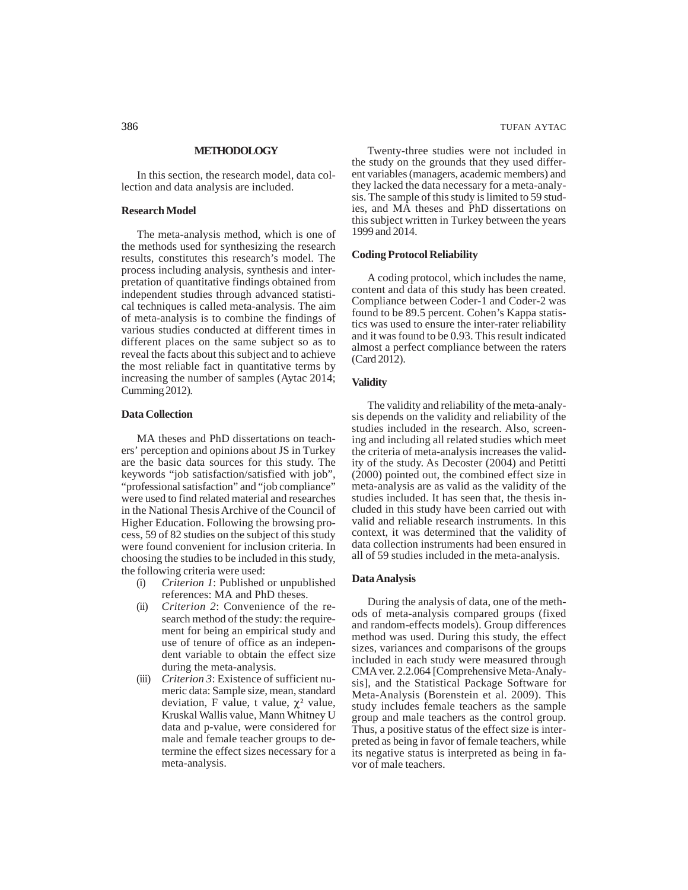#### **METHODOLOGY**

In this section, the research model, data collection and data analysis are included.

# **Research Model**

The meta-analysis method, which is one of the methods used for synthesizing the research results, constitutes this research's model. The process including analysis, synthesis and interpretation of quantitative findings obtained from independent studies through advanced statistical techniques is called meta-analysis. The aim of meta-analysis is to combine the findings of various studies conducted at different times in different places on the same subject so as to reveal the facts about this subject and to achieve the most reliable fact in quantitative terms by increasing the number of samples (Aytac 2014; Cumming 2012).

#### **Data Collection**

MA theses and PhD dissertations on teachers' perception and opinions about JS in Turkey are the basic data sources for this study. The keywords "job satisfaction/satisfied with job", "professional satisfaction" and "job compliance" were used to find related material and researches in the National Thesis Archive of the Council of Higher Education. Following the browsing process, 59 of 82 studies on the subject of this study were found convenient for inclusion criteria. In choosing the studies to be included in this study, the following criteria were used:

- (i) *Criterion 1*: Published or unpublished references: MA and PhD theses.
- (ii) *Criterion 2*: Convenience of the research method of the study: the requirement for being an empirical study and use of tenure of office as an independent variable to obtain the effect size during the meta-analysis.
- (iii) *Criterion 3*: Existence of sufficient numeric data: Sample size, mean, standard deviation, F value, t value,  $\chi^2$  value, Kruskal Wallis value, Mann Whitney U data and p-value, were considered for male and female teacher groups to determine the effect sizes necessary for a meta-analysis.

Twenty-three studies were not included in the study on the grounds that they used different variables (managers, academic members) and they lacked the data necessary for a meta-analysis. The sample of this study is limited to 59 studies, and MA theses and PhD dissertations on this subject written in Turkey between the years 1999 and 2014.

#### **Coding Protocol Reliability**

A coding protocol, which includes the name, content and data of this study has been created. Compliance between Coder-1 and Coder-2 was found to be 89.5 percent. Cohen's Kappa statistics was used to ensure the inter-rater reliability and it was found to be 0.93. This result indicated almost a perfect compliance between the raters (Card 2012).

#### **Validity**

The validity and reliability of the meta-analysis depends on the validity and reliability of the studies included in the research. Also, screening and including all related studies which meet the criteria of meta-analysis increases the validity of the study. As Decoster (2004) and Petitti (2000) pointed out, the combined effect size in meta-analysis are as valid as the validity of the studies included. It has seen that, the thesis included in this study have been carried out with valid and reliable research instruments. In this context, it was determined that the validity of data collection instruments had been ensured in all of 59 studies included in the meta-analysis.

#### **Data Analysis**

During the analysis of data, one of the methods of meta-analysis compared groups (fixed and random-effects models). Group differences method was used. During this study, the effect sizes, variances and comparisons of the groups included in each study were measured through CMA ver. 2.2.064 [Comprehensive Meta-Analysis], and the Statistical Package Software for Meta-Analysis (Borenstein et al. 2009). This study includes female teachers as the sample group and male teachers as the control group. Thus, a positive status of the effect size is interpreted as being in favor of female teachers, while its negative status is interpreted as being in favor of male teachers.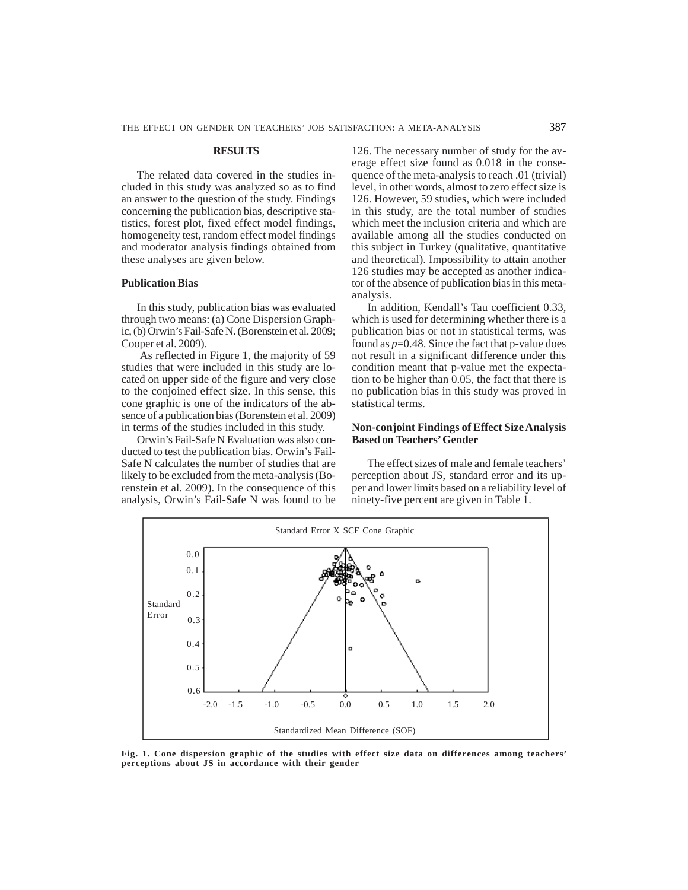#### **RESULTS**

The related data covered in the studies included in this study was analyzed so as to find an answer to the question of the study. Findings concerning the publication bias, descriptive statistics, forest plot, fixed effect model findings, homogeneity test, random effect model findings and moderator analysis findings obtained from these analyses are given below.

#### **Publication Bias**

In this study, publication bias was evaluated through two means: (a) Cone Dispersion Graphic, (b) Orwin's Fail-Safe N. (Borenstein et al. 2009; Cooper et al. 2009).

As reflected in Figure 1, the majority of 59 studies that were included in this study are located on upper side of the figure and very close to the conjoined effect size. In this sense, this cone graphic is one of the indicators of the absence of a publication bias (Borenstein et al. 2009) in terms of the studies included in this study.

Orwin's Fail-Safe N Evaluation was also conducted to test the publication bias. Orwin's Fail-Safe N calculates the number of studies that are likely to be excluded from the meta-analysis (Borenstein et al. 2009). In the consequence of this analysis, Orwin's Fail-Safe N was found to be

126. The necessary number of study for the average effect size found as 0.018 in the consequence of the meta-analysis to reach .01 (trivial) level, in other words, almost to zero effect size is 126. However, 59 studies, which were included in this study, are the total number of studies which meet the inclusion criteria and which are available among all the studies conducted on this subject in Turkey (qualitative, quantitative and theoretical). Impossibility to attain another 126 studies may be accepted as another indicator of the absence of publication bias in this metaanalysis.

In addition, Kendall's Tau coefficient 0.33, which is used for determining whether there is a publication bias or not in statistical terms, was found as *p*=0.48. Since the fact that p-value does not result in a significant difference under this condition meant that p-value met the expectation to be higher than 0.05, the fact that there is no publication bias in this study was proved in statistical terms.

# **Non-conjoint Findings of Effect Size Analysis Based on Teachers' Gender**

The effect sizes of male and female teachers' perception about JS, standard error and its upper and lower limits based on a reliability level of ninety-five percent are given in Table 1.



**Fig. 1. Cone dispersion graphic of the studies with effect size data on differences among teachers' perceptions about JS in accordance with their gender**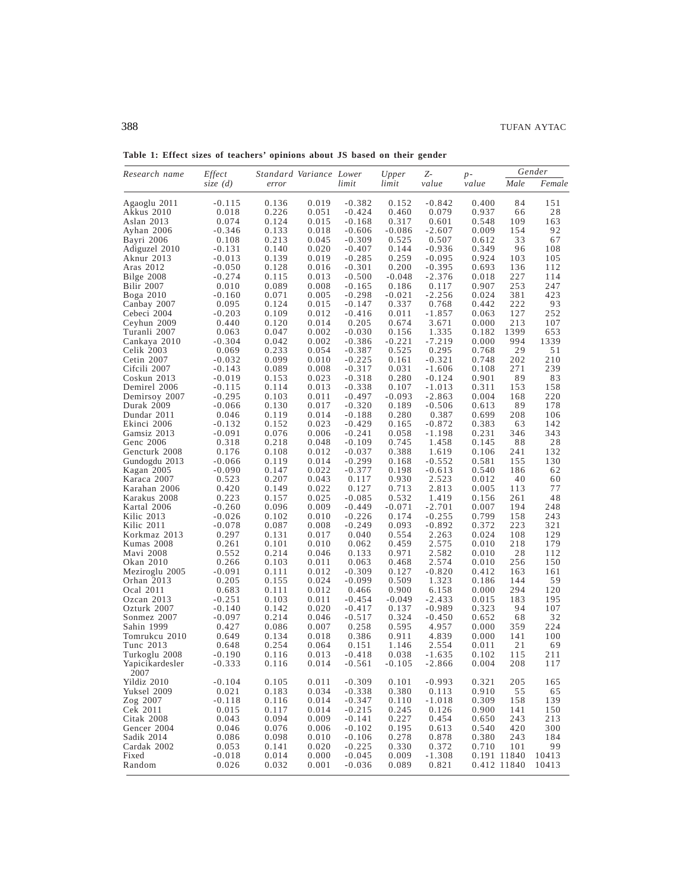| Research name              | Effect            | Standard Variance Lower |                |                      | Upper          | Z-                | $p -$          |            | Gender      |
|----------------------------|-------------------|-------------------------|----------------|----------------------|----------------|-------------------|----------------|------------|-------------|
|                            | size $(d)$        | error                   |                | limit                | limit          | value             | value          | Male       | Female      |
| Agaoglu 2011               | $-0.115$          | 0.136                   | 0.019          | $-0.382$             | 0.152          | $-0.842$          | 0.400          | 84         | 151         |
| Akkus 2010                 | 0.018             | 0.226                   | 0.051          | $-0.424$             | 0.460          | 0.079             | 0.937          | 66         | 28          |
| Aslan 2013                 | 0.074             | 0.124                   | 0.015          | $-0.168$             | 0.317          | 0.601             | 0.548          | 109        | 163         |
| Ayhan 2006                 | $-0.346$          | 0.133                   | 0.018          | $-0.606$             | $-0.086$       | $-2.607$          | 0.009          | 154        | 92          |
| Bayri 2006                 | 0.108             | 0.213                   | 0.045          | $-0.309$             | 0.525          | 0.507             | 0.612          | 33         | 67          |
| Adiguzel 2010              | $-0.131$          | 0.140                   | 0.020          | $-0.407$             | 0.144          | $-0.936$          | 0.349          | 96         | 108         |
| Aknur 2013                 | $-0.013$          | 0.139                   | 0.019          | $-0.285$             | 0.259          | $-0.095$          | 0.924          | 103        | 105         |
| Aras 2012                  | $-0.050$          | 0.128                   | 0.016          | $-0.301$             | 0.200          | $-0.395$          | 0.693          | 136        | 112         |
| Bilge 2008                 | $-0.274$          | 0.115                   | 0.013          | $-0.500$             | $-0.048$       | $-2.376$          | 0.018          | 227        | 114         |
| Bilir 2007                 | 0.010             | 0.089                   | 0.008          | $-0.165$             | 0.186          | 0.117             | 0.907          | 253        | 247         |
| Boga 2010                  | $-0.160$          | 0.071                   | 0.005          | $-0.298$             | $-0.021$       | $-2.256$          | 0.024          | 381        | 423         |
| Canbay 2007                | 0.095<br>$-0.203$ | 0.124                   | 0.015<br>0.012 | $-0.147$<br>$-0.416$ | 0.337<br>0.011 | 0.768<br>$-1.857$ | 0.442<br>0.063 | 222<br>127 | 93<br>252   |
| Cebeci 2004<br>Ceyhun 2009 | 0.440             | 0.109<br>0.120          | 0.014          | 0.205                | 0.674          | 3.671             | 0.000          | 213        | 107         |
| Turanli 2007               | 0.063             | 0.047                   | 0.002          | $-0.030$             | 0.156          | 1.335             | 0.182          | 1399       | 653         |
| Cankaya 2010               | $-0.304$          | 0.042                   | 0.002          | $-0.386$             | $-0.221$       | -7.219            | 0.000          | 994        | 1339        |
| Celik 2003                 | 0.069             | 0.233                   | 0.054          | $-0.387$             | 0.525          | 0.295             | 0.768          | 29         | 51          |
| Cetin 2007                 | $-0.032$          | 0.099                   | 0.010          | $-0.225$             | 0.161          | $-0.321$          | 0.748          | 202        | 210         |
| Cifcili 2007               | $-0.143$          | 0.089                   | 0.008          | $-0.317$             | 0.031          | $-1.606$          | 0.108          | 271        | 239         |
| Coskun 2013                | $-0.019$          | 0.153                   | 0.023          | $-0.318$             | 0.280          | $-0.124$          | 0.901          | 89         | 83          |
| Demirel 2006               | $-0.115$          | 0.114                   | 0.013          | $-0.338$             | 0.107          | $-1.013$          | 0.311          | 153        | 158         |
| Demirsoy 2007              | $-0.295$          | 0.103                   | 0.011          | $-0.497$             | $-0.093$       | $-2.863$          | 0.004          | 168        | 220         |
| Durak 2009                 | $-0.066$          | 0.130                   | 0.017          | $-0.320$             | 0.189          | $-0.506$          | 0.613          | 89         | 178         |
| Dundar 2011                | 0.046             | 0.119                   | 0.014          | $-0.188$             | 0.280          | 0.387             | 0.699          | 208        | 106         |
| Ekinci 2006                | $-0.132$          | 0.152                   | 0.023          | $-0.429$             | 0.165          | $-0.872$          | 0.383          | 63         | 142         |
| Gamsiz 2013                | $-0.091$          | 0.076                   | 0.006          | $-0.241$             | 0.058          | $-1.198$          | 0.231          | 346        | 343         |
| Genc 2006                  | 0.318             | 0.218                   | 0.048          | $-0.109$             | 0.745          | 1.458             | 0.145          | 88         | 28          |
| Gencturk 2008              | 0.176             | 0.108                   | 0.012          | $-0.037$             | 0.388          | 1.619             | 0.106          | 241        | 132         |
| Gundogdu 2013              | $-0.066$          | 0.119                   | 0.014          | $-0.299$             | 0.168          | $-0.552$          | 0.581          | 155        | 130         |
| Kagan 2005                 | $-0.090$          | 0.147                   | 0.022          | $-0.377$             | 0.198          | $-0.613$          | 0.540          | 186        | 62          |
| Karaca 2007                | 0.523             | 0.207                   | 0.043          | 0.117                | 0.930          | 2.523             | 0.012          | 40         | 60          |
| Karahan 2006               | 0.420             | 0.149                   | 0.022          | 0.127                | 0.713          | 2.813             | 0.005          | 113        | 77          |
| Karakus 2008               | 0.223             | 0.157                   | 0.025          | $-0.085$             | 0.532          | 1.419             | 0.156          | 261        | 48          |
| Kartal 2006                | $-0.260$          | 0.096                   | 0.009          | $-0.449$             | $-0.071$       | $-2.701$          | 0.007          | 194        | 248         |
| Kilic 2013<br>Kilic 2011   | $-0.026$          | 0.102                   | 0.010<br>0.008 | $-0.226$<br>$-0.249$ | 0.174          | $-0.255$          | 0.799<br>0.372 | 158<br>223 | 243<br>321  |
| Korkmaz 2013               | $-0.078$<br>0.297 | 0.087<br>0.131          | 0.017          | 0.040                | 0.093<br>0.554 | $-0.892$<br>2.263 | 0.024          | 108        | 129         |
| Kumas 2008                 | 0.261             | 0.101                   | 0.010          | 0.062                | 0.459          | 2.575             | 0.010          | 218        | 179         |
| Mavi 2008                  | 0.552             | 0.214                   | 0.046          | 0.133                | 0.971          | 2.582             | 0.010          | 28         | 112         |
| Okan 2010                  | 0.266             | 0.103                   | 0.011          | 0.063                | 0.468          | 2.574             | 0.010          | 256        | 150         |
| Meziroglu 2005             | $-0.091$          | 0.111                   | 0.012          | $-0.309$             | 0.127          | $-0.820$          | 0.412          | 163        | 161         |
| Orhan 2013                 | 0.205             | 0.155                   | 0.024          | $-0.099$             | 0.509          | 1.323             | 0.186          | 144        | 59          |
| Ocal 2011                  | 0.683             | 0.111                   | 0.012          | 0.466                | 0.900          | 6.158             | 0.000          | 294        | 120         |
| Ozcan 2013                 | $-0.251$          | 0.103                   | 0.011          | $-0.454$             | $-0.049$       | $-2.433$          | 0.015          | 183        | 195         |
| Ozturk 2007                | $-0.140$          | 0.142                   | 0.020          | $-0.417$             | 0.137          | $-0.989$          | 0.323          | 94         | 107         |
| Sonmez 2007                | $-0.097$          | 0.214                   | 0.046          | $-0.517$             | 0.324          | $-0.450$          | 0.652          | 68         | 32          |
| Sahin 1999                 | 0.427             | 0.086                   | 0.007          | 0.258                | 0.595          | 4.957             | 0.000          | 359        | 224         |
| Tomrukcu 2010              | 0.649             | 0.134                   | 0.018          | 0.386                | 0.911          | 4.839             | 0.000          | 141        | 100         |
| Tunc 2013                  | 0.648             | 0.254                   | 0.064          | 0.151                | 1.146          | 2.554             | 0.011          | 21         | 69          |
| Turkoglu 2008              | $-0.190$          | 0.116                   | 0.013          | $-0.418$             | 0.038          | $-1.635$          | 0.102          | 115        | 211         |
| Yapicikardesler<br>2007    | $-0.333$          | 0.116                   | 0.014          | $-0.561$             | $-0.105$       | $-2.866$          | 0.004          | 208        | 117         |
| Yildiz 2010                | $-0.104$          | 0.105                   | 0.011          | $-0.309$             | 0.101          | $-0.993$          | 0.321          | 205        | 165         |
| Yuksel 2009                | 0.021             | 0.183                   | 0.034          | $-0.338$             | 0.380          | 0.113             | 0.910          | 55         | 65          |
| Zog 2007                   | $-0.118$          | 0.116                   | 0.014          | $-0.347$             | 0.110          | $-1.018$          | 0.309          | 158        | 139         |
| Cek 2011                   | 0.015             | 0.117                   | 0.014          | $-0.215$             | 0.245          | 0.126             | 0.900          | 141        | 150         |
| Citak 2008                 | 0.043             | 0.094                   | 0.009          | $-0.141$             | 0.227          | 0.454             | 0.650          | 243        | 213         |
| Gencer 2004                | 0.046             | 0.076                   | 0.006          | $-0.102$             | 0.195          | 0.613             | 0.540          | 420        | 300         |
| Sadik 2014                 | 0.086             | 0.098                   | 0.010          | $-0.106$             | 0.278          | 0.878             | 0.380          | 243        | 184         |
| Cardak 2002<br>Fixed       | 0.053             | 0.141                   | 0.020          | $-0.225$<br>$-0.045$ | 0.330          | 0.372             | 0.710          | 101        | 99<br>10413 |
|                            | $-0.018$          | 0.014                   | 0.000          |                      | 0.009          | $-1.308$          | 0.191 11840    |            |             |
| Random                     | 0.026             | 0.032                   | 0.001          | $-0.036$             | 0.089          | 0.821             | 0.412 11840    |            | 10413       |

**Table 1: Effect sizes of teachers' opinions about JS based on their gender**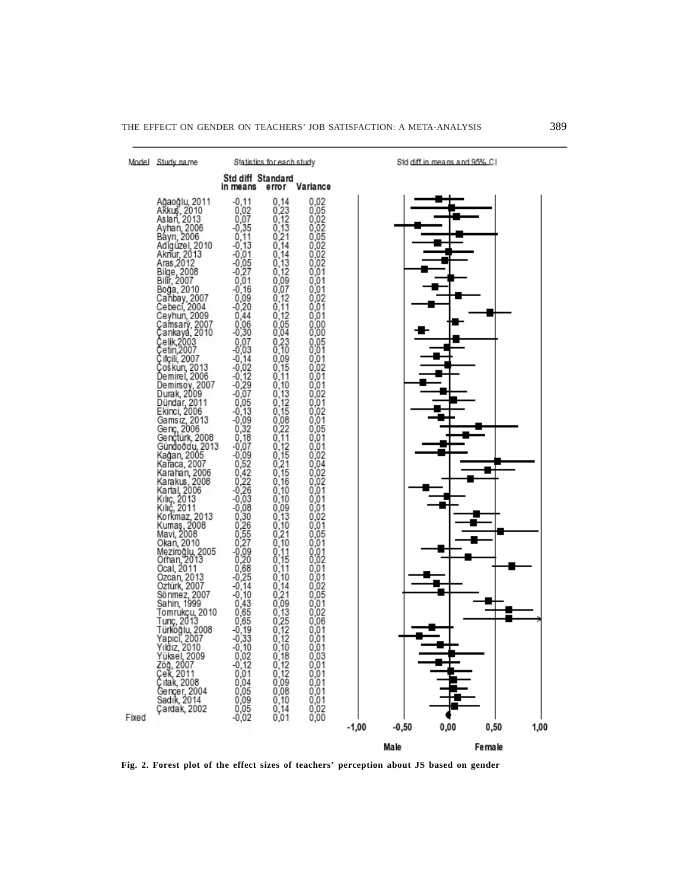|       | Model Study name                                                                                                                                                                                                                                                                                                                                                                                                                                                                                                                                                                                                                                                                                                                                                                                                                                                                                                                                             |                                                                                                                                                                                                                                                                                                                                                                                                                                                                                                                                                                                                               | Statistics for each study                                                                                                                                                                                                                                                                                                                                                                                                                                                                                                                                                                  |                                                                                                                                                                                                                                                                                                                                                                                                                                                                                                          |         |         | Std diff in means and 95% CI |        |      |
|-------|--------------------------------------------------------------------------------------------------------------------------------------------------------------------------------------------------------------------------------------------------------------------------------------------------------------------------------------------------------------------------------------------------------------------------------------------------------------------------------------------------------------------------------------------------------------------------------------------------------------------------------------------------------------------------------------------------------------------------------------------------------------------------------------------------------------------------------------------------------------------------------------------------------------------------------------------------------------|---------------------------------------------------------------------------------------------------------------------------------------------------------------------------------------------------------------------------------------------------------------------------------------------------------------------------------------------------------------------------------------------------------------------------------------------------------------------------------------------------------------------------------------------------------------------------------------------------------------|--------------------------------------------------------------------------------------------------------------------------------------------------------------------------------------------------------------------------------------------------------------------------------------------------------------------------------------------------------------------------------------------------------------------------------------------------------------------------------------------------------------------------------------------------------------------------------------------|----------------------------------------------------------------------------------------------------------------------------------------------------------------------------------------------------------------------------------------------------------------------------------------------------------------------------------------------------------------------------------------------------------------------------------------------------------------------------------------------------------|---------|---------|------------------------------|--------|------|
|       |                                                                                                                                                                                                                                                                                                                                                                                                                                                                                                                                                                                                                                                                                                                                                                                                                                                                                                                                                              | Std diff Standard<br>in means                                                                                                                                                                                                                                                                                                                                                                                                                                                                                                                                                                                 | error                                                                                                                                                                                                                                                                                                                                                                                                                                                                                                                                                                                      | Variance                                                                                                                                                                                                                                                                                                                                                                                                                                                                                                 |         |         |                              |        |      |
| Fixed | Ağaoğlu, 2011<br>Akkuş, 2010<br>Aslan, 2013<br>Ayhan, 2006<br>Bayn, 2006<br>Adígüzel, 2010<br>Aknur, 2013<br>Aras, 2012<br>Bilge, 2008<br>Bilĭr, 2007<br>Boğa, 2010<br>Caňbay, 2007<br>Cebeci, 2004<br>Ceyhun, 2009<br>Çamsary, 2007<br>Çankaya, 2010<br>Čelik, 2003<br>Četin, 2007<br>C ifçili, 2007<br>Čoškún, 2013<br>Demirel, 2006<br>Demirsoy, 2007<br>Durak, 2009<br>Dündar, 2011<br>Ekinci, 2006<br>Gamsiz, 2013<br>Genç, 2006<br>Gençtürk, 2008<br>Gündoodu, 2013<br>Kağan, 2005<br>Kařaca, 2007<br>Karahan, 2006<br>Karakus, 2008<br>Kartal, 2006<br>Kiliç, 2013<br>Kiliç, 2011<br>Korkmaz, 2013<br>Kumas, 2008<br>Mavi, 2008<br>Okan, 2010<br>Meziroğlu, 2005<br>Orhan, 2013<br>Ocal, 2011<br>Ozcan, 2013<br>Oztürk, 2007<br>Sönmez, 2007<br>Sahin, 1999<br>Tomrukçu, 2010<br>Tunç, 2013<br>Türkoğlu, 2008<br>Yapıcı, 2007<br>Yıldız, 2010<br>Yüksel, 2009<br>Zöğ, 2007<br>Çek, 2011<br>Cıtak, 2008<br>Gençer, 2004<br>Sadık, 2014<br>Çardak, 2002 | $-0,11$<br>0,02<br>0,07<br>$-0.35$<br>0,11<br>$-0,13$<br>$-0.01$<br>$-0.05$<br>$-0,27$<br>0.01<br>$-0,16$<br>$0,09$<br>$0,20$<br>0,44<br>$0,06$<br>$0,30$<br>0.07<br>$-0.03$<br>$-0,14$<br>$-0,02$<br>$-0.12$<br>$-0,29$<br>$-0,07$<br>0,05<br>0,13<br>$0,09$<br>$0,32$<br>0,18<br>$-0,07$<br>$-0,09$<br>0,52<br>$0,42$<br>$0,22$<br>$0,26$<br>$-0.03$<br>$0,08$<br>$0,30$<br>0,26<br>$\frac{0,55}{0,27}$<br>$-0,09$<br>$0,20$<br>$0,68$<br>$-0,25$<br>$-0.14$<br>$-0,10$<br>0,43<br>0,65<br>0,65<br>$-0,19$<br>$-0.33$<br>$-0,10$<br>$^{0,02}_{0,12}$<br>0,01<br>$0,04$<br>$0,05$<br>0.09<br>0,05<br>$-0.02$ | 0,14<br>0,23<br>0,12<br>$\frac{0,15}{0,21}$<br>0,14<br>0,14<br>0,13<br>$0,12$<br>$0,09$<br>0,07<br>$\frac{0,12}{0,11}$<br>$\substack{0.12 \\ 0.05 \\ 0.04}$<br>$0,23$<br>$0,10$<br>$0,09$<br>$0,15$<br>0,11<br>0,10<br>$0,13$<br>$0,12$<br>0,15<br>$0,08$<br>$0,22$<br>0,11<br>$0,12$<br>$0,15$<br>0,21<br>$0,15$<br>$0,16$<br>$0,10$<br>0,10<br>$0,09$<br>$0,13$<br>0,10<br>$0,21$<br>$0,10$<br>$^{0,11}_{0,15}$<br>$0,11$<br>$0,10$<br>$0,14$<br>$0,21$<br>$0,09$<br>$0,13$<br>$0,25$<br>0, 12<br>0,12<br>0,10<br>$0,18$<br>$0,12$<br>$0,12$<br>$0,09$<br>$0,08$<br>0,10<br>0,14<br>0,01 | ${}^{0,02}_{0,05}$<br>0,02<br>0.02<br>0,05<br>0,02<br>0.02<br>0.02<br>0,01<br>0.01<br>0,01<br>0,02<br>0.01<br>0.01<br>0,00,00<br>$0,05$<br>$0,01$<br>$0,01$<br>$0,02$<br>0.01<br>0.01<br>0,02<br>0 0 1<br>0.02<br>0,01<br>0.05<br>0,01<br>0,01<br>0.02<br>0.04<br>0.02<br>0,02<br>0.01<br>0.01<br>0,01<br>0.02<br>0.01<br>0,05<br>0,01<br>0,01<br>0,01<br>0.01<br>0,02<br>0,05<br>0,01<br>0.02<br>0.06<br>0,01<br>0.01<br>0.01<br>$0,03$<br>$0,01$<br>0,01<br>0,01<br>0,01<br>${}^{0,01}_{0,02}$<br>0,00 | $-1,00$ | $-0,50$ | 0,00                         | 0,50   | 1,00 |
|       |                                                                                                                                                                                                                                                                                                                                                                                                                                                                                                                                                                                                                                                                                                                                                                                                                                                                                                                                                              |                                                                                                                                                                                                                                                                                                                                                                                                                                                                                                                                                                                                               |                                                                                                                                                                                                                                                                                                                                                                                                                                                                                                                                                                                            |                                                                                                                                                                                                                                                                                                                                                                                                                                                                                                          |         | Ma le   |                              | Female |      |

**Fig. 2. Forest plot of the effect sizes of teachers' perception about JS based on gender**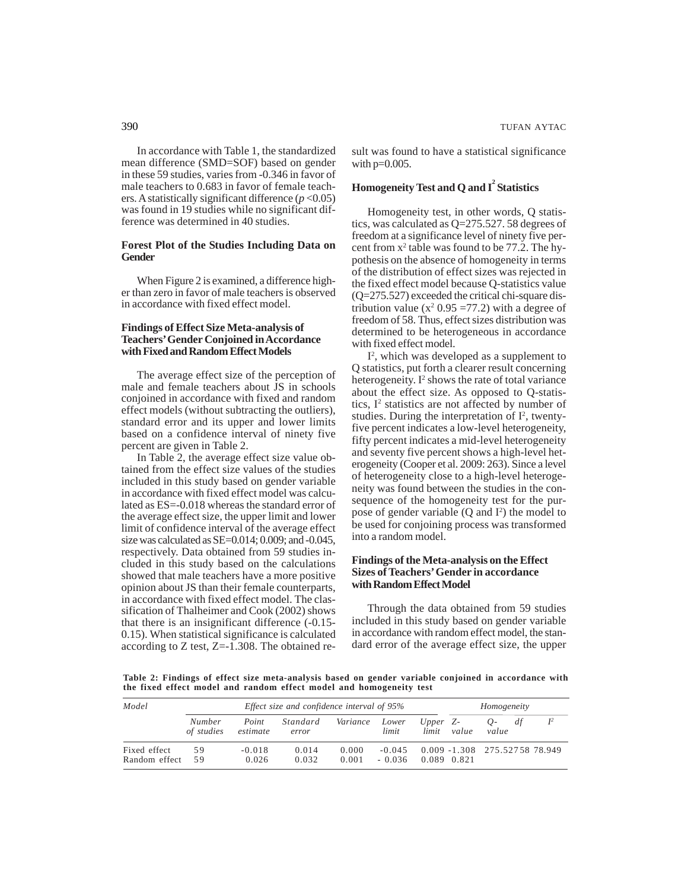In accordance with Table 1, the standardized mean difference (SMD=SOF) based on gender in these 59 studies, varies from -0.346 in favor of male teachers to 0.683 in favor of female teachers. A statistically significant difference  $(p<0.05)$ was found in 19 studies while no significant difference was determined in 40 studies.

#### **Forest Plot of the Studies Including Data on Gender**

When Figure 2 is examined, a difference higher than zero in favor of male teachers is observed in accordance with fixed effect model.

# **Findings of Effect Size Meta-analysis of Teachers' Gender Conjoined in Accordance with Fixed and Random Effect Models**

The average effect size of the perception of male and female teachers about JS in schools conjoined in accordance with fixed and random effect models (without subtracting the outliers), standard error and its upper and lower limits based on a confidence interval of ninety five percent are given in Table 2.

In Table 2, the average effect size value obtained from the effect size values of the studies included in this study based on gender variable in accordance with fixed effect model was calculated as ES=-0.018 whereas the standard error of the average effect size, the upper limit and lower limit of confidence interval of the average effect size was calculated as SE=0.014; 0.009; and -0.045, respectively. Data obtained from 59 studies included in this study based on the calculations showed that male teachers have a more positive opinion about JS than their female counterparts, in accordance with fixed effect model. The classification of Thalheimer and Cook (2002) shows that there is an insignificant difference (-0.15- 0.15). When statistical significance is calculated according to Z test, Z=-1.308. The obtained result was found to have a statistical significance with  $p=0.005$ .

# Homogeneity Test and Q and I<sup>2</sup> Statistics

Homogeneity test, in other words, Q statistics, was calculated as Q=275.527. 58 degrees of freedom at a significance level of ninety five percent from  $x^2$  table was found to be 77.2. The hypothesis on the absence of homogeneity in terms of the distribution of effect sizes was rejected in the fixed effect model because Q-statistics value (Q=275.527) exceeded the critical chi-square distribution value ( $x^2$  0.95 = 77.2) with a degree of freedom of 58. Thus, effect sizes distribution was determined to be heterogeneous in accordance with fixed effect model.

I2 , which was developed as a supplement to Q statistics, put forth a clearer result concerning heterogeneity.  $I^2$  shows the rate of total variance about the effect size. As opposed to Q-statistics,  $I^2$  statistics are not affected by number of studies. During the interpretation of  $I^2$ , twentyfive percent indicates a low-level heterogeneity, fifty percent indicates a mid-level heterogeneity and seventy five percent shows a high-level heterogeneity (Cooper et al. 2009: 263). Since a level of heterogeneity close to a high-level heterogeneity was found between the studies in the consequence of the homogeneity test for the purpose of gender variable  $(Q \text{ and } I^2)$  the model to be used for conjoining process was transformed into a random model.

# **Findings of the Meta-analysis on the Effect Sizes of Teachers' Gender in accordance with Random Effect Model**

Through the data obtained from 59 studies included in this study based on gender variable in accordance with random effect model, the standard error of the average effect size, the upper

**Table 2: Findings of effect size meta-analysis based on gender variable conjoined in accordance with the fixed effect model and random effect model and homogeneity test**

| Model                         | Effect size and confidence interval of 95% |                   |                   |                |                      |                        |       | Homogeneity                   |    |       |  |  |
|-------------------------------|--------------------------------------------|-------------------|-------------------|----------------|----------------------|------------------------|-------|-------------------------------|----|-------|--|--|
|                               | <i>Number</i><br>of studies                | Point<br>estimate | Standard<br>error | Variance       | Lower<br>limit       | $Upper$ $Z$ -<br>limit | value | $\theta$ -<br>value           | df | $I^2$ |  |  |
| Fixed effect<br>Random effect | 59<br>-59                                  | $-0.018$<br>0.026 | 0.014<br>0.032    | 0.000<br>0.001 | $-0.045$<br>$-0.036$ | 0.089 0.821            |       | 0.009 -1.308 275.52758 78.949 |    |       |  |  |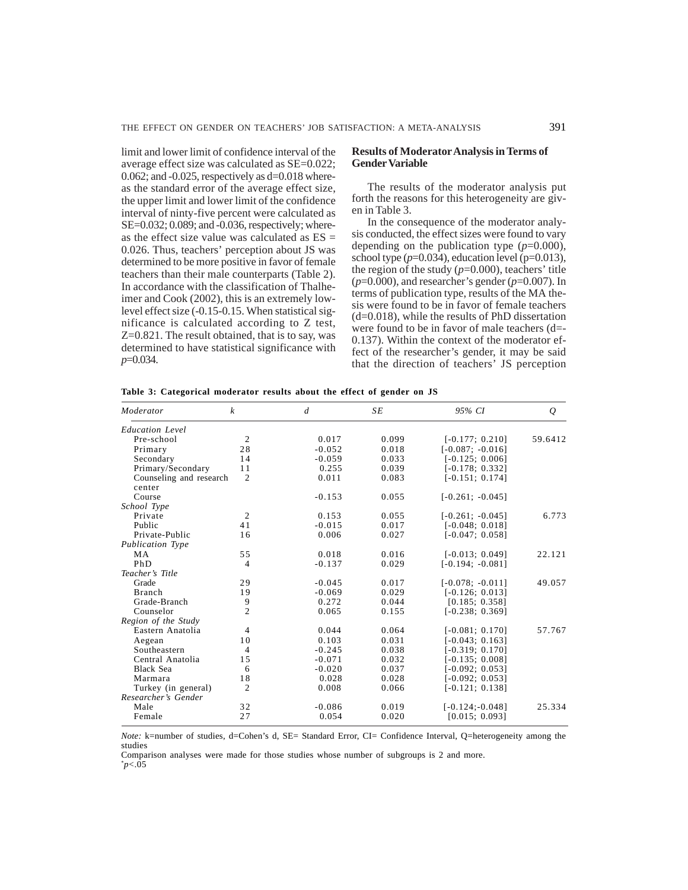limit and lower limit of confidence interval of the average effect size was calculated as SE=0.022; 0.062; and  $-0.025$ , respectively as  $d=0.018$  whereas the standard error of the average effect size, the upper limit and lower limit of the confidence interval of ninty-five percent were calculated as SE=0.032; 0.089; and -0.036, respectively; whereas the effect size value was calculated as  $ES =$ 0.026. Thus, teachers' perception about JS was determined to be more positive in favor of female teachers than their male counterparts (Table 2). In accordance with the classification of Thalheimer and Cook (2002), this is an extremely lowlevel effect size (-0.15-0.15. When statistical significance is calculated according to Z test, Z=0.821. The result obtained, that is to say, was determined to have statistical significance with *p*=0.034.

#### **Results of Moderator Analysis in Terms of Gender Variable**

The results of the moderator analysis put forth the reasons for this heterogeneity are given in Table 3.

In the consequence of the moderator analysis conducted, the effect sizes were found to vary depending on the publication type  $(p=0.000)$ , school type  $(p=0.034)$ , education level  $(p=0.013)$ , the region of the study  $(p=0.000)$ , teachers' title (*p*=0.000), and researcher's gender (*p*=0.007). In terms of publication type, results of the MA thesis were found to be in favor of female teachers  $(d=0.018)$ , while the results of PhD dissertation were found to be in favor of male teachers (d=- 0.137). Within the context of the moderator effect of the researcher's gender, it may be said that the direction of teachers' JS perception

| Table 3: Categorical moderator results about the effect of gender on JS |  |  |  |  |  |  |  |  |  |  |  |  |  |
|-------------------------------------------------------------------------|--|--|--|--|--|--|--|--|--|--|--|--|--|
|-------------------------------------------------------------------------|--|--|--|--|--|--|--|--|--|--|--|--|--|

| Moderator                         | k              | $\boldsymbol{d}$ | <b>SE</b> | 95% CI             | $\mathcal{Q}$ |
|-----------------------------------|----------------|------------------|-----------|--------------------|---------------|
| <b>Education Level</b>            |                |                  |           |                    |               |
| Pre-school                        | $\overline{2}$ | 0.017            | 0.099     | $[-0.177; 0.210]$  | 59.6412       |
| Primary                           | 28             | $-0.052$         | 0.018     | $[-0.087; -0.016]$ |               |
| Secondary                         | 14             | $-0.059$         | 0.033     | $[-0.125; 0.006]$  |               |
| Primary/Secondary                 | 11             | 0.255            | 0.039     | $[-0.178; 0.332]$  |               |
| Counseling and research<br>center | $\overline{c}$ | 0.011            | 0.083     | $[-0.151; 0.174]$  |               |
| Course                            |                | $-0.153$         | 0.055     | $[-0.261; -0.045]$ |               |
| School Type                       |                |                  |           |                    |               |
| Private                           | 2              | 0.153            | 0.055     | $[-0.261; -0.045]$ | 6.773         |
| Public                            | 41             | $-0.015$         | 0.017     | $[-0.048; 0.018]$  |               |
| Private-Public                    | 16             | 0.006            | 0.027     | $[-0.047; 0.058]$  |               |
| <b>Publication Type</b>           |                |                  |           |                    |               |
| MA                                | 55             | 0.018            | 0.016     | $[-0.013; 0.049]$  | 22.121        |
| PhD                               | 4              | $-0.137$         | 0.029     | $[-0.194; -0.081]$ |               |
| Teacher's Title                   |                |                  |           |                    |               |
| Grade                             | 29             | $-0.045$         | 0.017     | $[-0.078; -0.011]$ | 49.057        |
| Branch                            | 19             | $-0.069$         | 0.029     | $[-0.126; 0.013]$  |               |
| Grade-Branch                      | 9              | 0.272            | 0.044     | [0.185; 0.358]     |               |
| Counselor                         | $\overline{c}$ | 0.065            | 0.155     | $[-0.238; 0.369]$  |               |
| Region of the Study               |                |                  |           |                    |               |
| Eastern Anatolia                  | 4              | 0.044            | 0.064     | $[-0.081; 0.170]$  | 57.767        |
| Aegean                            | 10             | 0.103            | 0.031     | $[-0.043; 0.163]$  |               |
| Southeastern                      | 4              | $-0.245$         | 0.038     | $[-0.319; 0.170]$  |               |
| Central Anatolia                  | 15             | $-0.071$         | 0.032     | $[-0.135; 0.008]$  |               |
| <b>Black Sea</b>                  | 6              | $-0.020$         | 0.037     | $[-0.092; 0.053]$  |               |
| Marmara                           | 18             | 0.028            | 0.028     | $[-0.092; 0.053]$  |               |
| Turkey (in general)               | $\overline{c}$ | 0.008            | 0.066     | $[-0.121; 0.138]$  |               |
| Researcher's Gender               |                |                  |           |                    |               |
| Male                              | 32             | $-0.086$         | 0.019     | $[-0.124; -0.048]$ | 25.334        |
| Female                            | 27             | 0.054            | 0.020     | [0.015; 0.093]     |               |

*Note:* k=number of studies, d=Cohen's d, SE= Standard Error, CI= Confidence Interval, Q=heterogeneity among the studies

Comparison analyses were made for those studies whose number of subgroups is 2 and more.

\* *p*<.05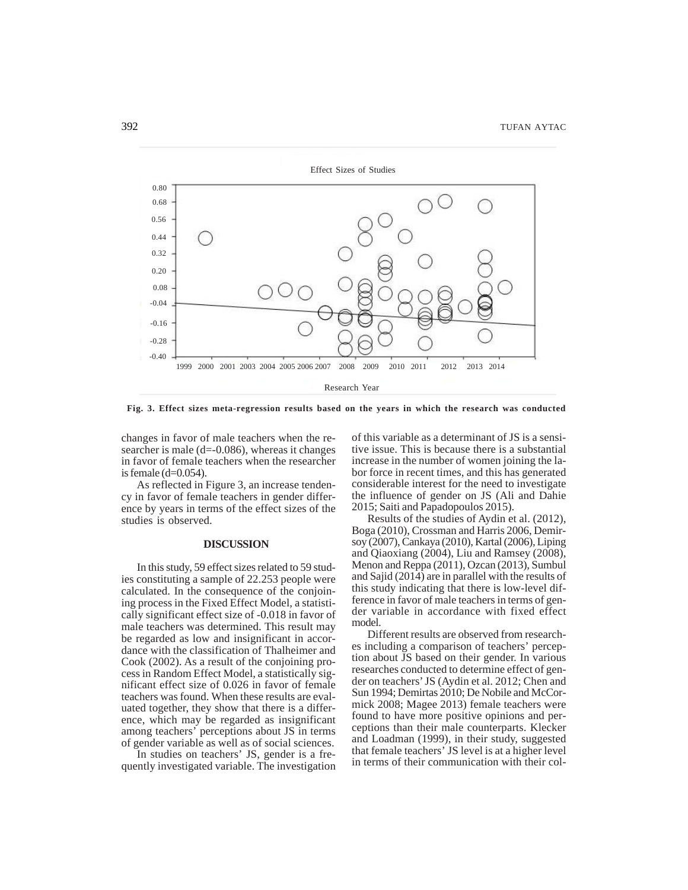

 **Fig. 3. Effect sizes meta-regression results based on the years in which the research was conducted**

changes in favor of male teachers when the researcher is male (d=-0.086), whereas it changes in favor of female teachers when the researcher is female  $(d=0.054)$ .

As reflected in Figure 3, an increase tendency in favor of female teachers in gender difference by years in terms of the effect sizes of the studies is observed.

#### **DISCUSSION**

In this study, 59 effect sizes related to 59 studies constituting a sample of 22.253 people were calculated. In the consequence of the conjoining process in the Fixed Effect Model, a statistically significant effect size of -0.018 in favor of male teachers was determined. This result may be regarded as low and insignificant in accordance with the classification of Thalheimer and Cook (2002). As a result of the conjoining process in Random Effect Model, a statistically significant effect size of 0.026 in favor of female teachers was found. When these results are evaluated together, they show that there is a difference, which may be regarded as insignificant among teachers' perceptions about JS in terms of gender variable as well as of social sciences.

In studies on teachers' JS, gender is a frequently investigated variable. The investigation of this variable as a determinant of JS is a sensitive issue. This is because there is a substantial increase in the number of women joining the labor force in recent times, and this has generated considerable interest for the need to investigate the influence of gender on JS (Ali and Dahie 2015; Saiti and Papadopoulos 2015).

Results of the studies of Aydin et al. (2012), Boga (2010), Crossman and Harris 2006, Demirsoy (2007), Cankaya (2010), Kartal (2006), Liping and Qiaoxiang (2004), Liu and Ramsey (2008), Menon and Reppa (2011), Ozcan (2013), Sumbul and Sajid (2014) are in parallel with the results of this study indicating that there is low-level difference in favor of male teachers in terms of gender variable in accordance with fixed effect model.

Different results are observed from researches including a comparison of teachers' perception about JS based on their gender. In various researches conducted to determine effect of gender on teachers' JS (Aydin et al. 2012; Chen and Sun 1994; Demirtas 2010; De Nobile and McCormick 2008; Magee 2013) female teachers were found to have more positive opinions and perceptions than their male counterparts. Klecker and Loadman (1999), in their study, suggested that female teachers' JS level is at a higher level in terms of their communication with their col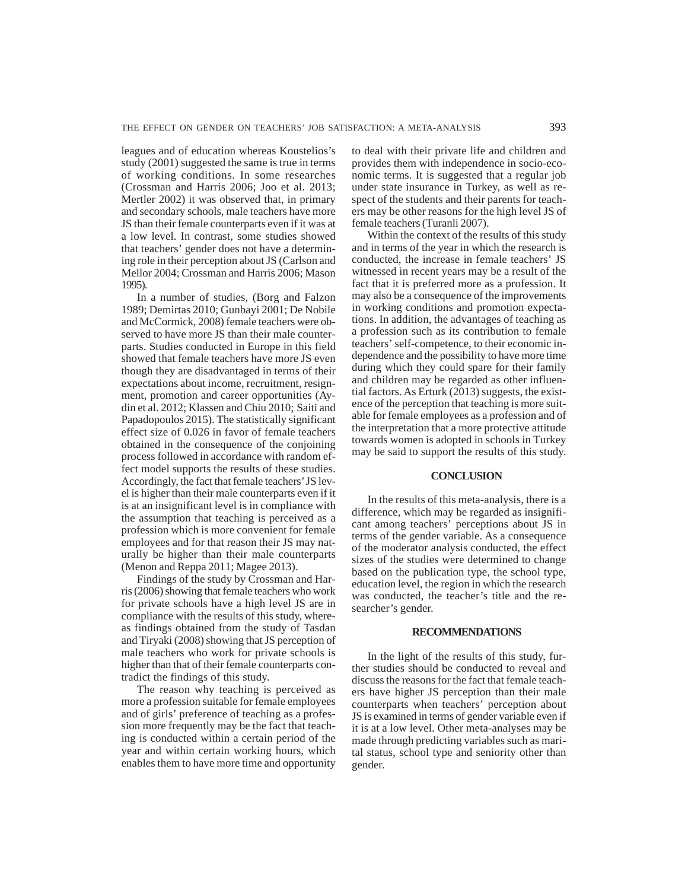leagues and of education whereas Koustelios's study (2001) suggested the same is true in terms of working conditions. In some researches (Crossman and Harris 2006; Joo et al. 2013; Mertler 2002) it was observed that, in primary and secondary schools, male teachers have more JS than their female counterparts even if it was at a low level. In contrast, some studies showed that teachers' gender does not have a determining role in their perception about JS (Carlson and Mellor 2004; Crossman and Harris 2006; Mason 1995).

In a number of studies, (Borg and Falzon 1989; Demirtas 2010; Gunbayi 2001; De Nobile and McCormick, 2008) female teachers were observed to have more JS than their male counterparts. Studies conducted in Europe in this field showed that female teachers have more JS even though they are disadvantaged in terms of their expectations about income, recruitment, resignment, promotion and career opportunities (Aydin et al. 2012; Klassen and Chiu 2010; Saiti and Papadopoulos 2015). The statistically significant effect size of 0.026 in favor of female teachers obtained in the consequence of the conjoining process followed in accordance with random effect model supports the results of these studies. Accordingly, the fact that female teachers' JS level is higher than their male counterparts even if it is at an insignificant level is in compliance with the assumption that teaching is perceived as a profession which is more convenient for female employees and for that reason their JS may naturally be higher than their male counterparts (Menon and Reppa 2011; Magee 2013).

Findings of the study by Crossman and Harris (2006) showing that female teachers who work for private schools have a high level JS are in compliance with the results of this study, whereas findings obtained from the study of Tasdan and Tiryaki (2008) showing that JS perception of male teachers who work for private schools is higher than that of their female counterparts contradict the findings of this study.

The reason why teaching is perceived as more a profession suitable for female employees and of girls' preference of teaching as a profession more frequently may be the fact that teaching is conducted within a certain period of the year and within certain working hours, which enables them to have more time and opportunity to deal with their private life and children and provides them with independence in socio-economic terms. It is suggested that a regular job under state insurance in Turkey, as well as respect of the students and their parents for teachers may be other reasons for the high level JS of female teachers (Turanli 2007).

Within the context of the results of this study and in terms of the year in which the research is conducted, the increase in female teachers' JS witnessed in recent years may be a result of the fact that it is preferred more as a profession. It may also be a consequence of the improvements in working conditions and promotion expectations. In addition, the advantages of teaching as a profession such as its contribution to female teachers' self-competence, to their economic independence and the possibility to have more time during which they could spare for their family and children may be regarded as other influential factors. As Erturk (2013) suggests, the existence of the perception that teaching is more suitable for female employees as a profession and of the interpretation that a more protective attitude towards women is adopted in schools in Turkey may be said to support the results of this study.

## **CONCLUSION**

In the results of this meta-analysis, there is a difference, which may be regarded as insignificant among teachers' perceptions about JS in terms of the gender variable. As a consequence of the moderator analysis conducted, the effect sizes of the studies were determined to change based on the publication type, the school type, education level, the region in which the research was conducted, the teacher's title and the researcher's gender.

#### **RECOMMENDATIONS**

In the light of the results of this study, further studies should be conducted to reveal and discuss the reasons for the fact that female teachers have higher JS perception than their male counterparts when teachers' perception about JS is examined in terms of gender variable even if it is at a low level. Other meta-analyses may be made through predicting variables such as marital status, school type and seniority other than gender.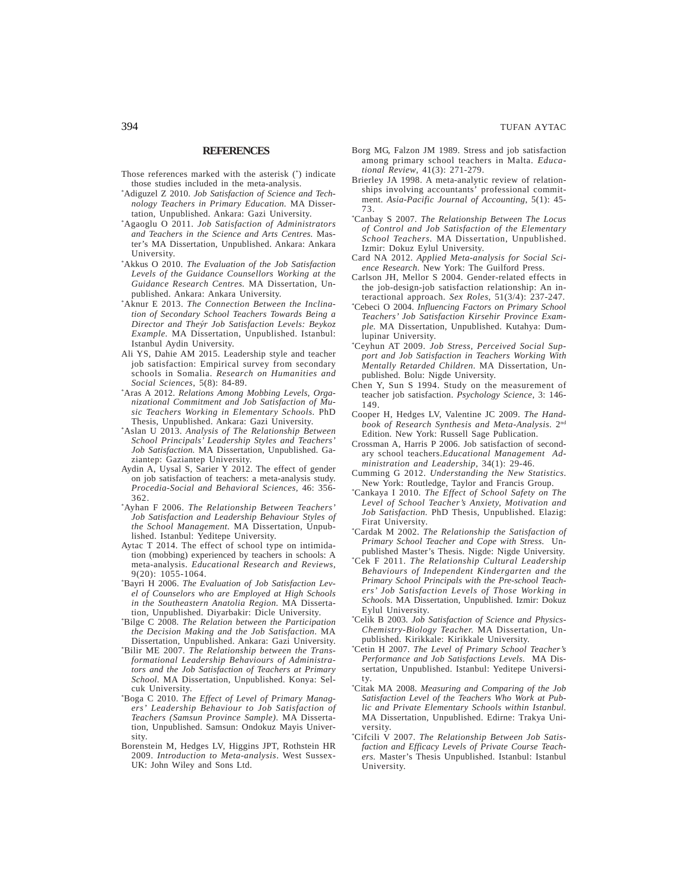#### **REFERENCES**

- Those references marked with the asterisk (\* ) indicate those studies included in the meta-analysis.
- \* Adiguzel Z 2010. *Job Satisfaction of Science and Technology Teachers in Primary Education.* MA Dissertation, Unpublished. Ankara: Gazi University.
- \* Agaoglu O 2011. *Job Satisfaction of Administrators and Teachers in the Science and Arts Centres.* Master's MA Dissertation, Unpublished. Ankara: Ankara University.
- \* Akkus O 2010. *The Evaluation of the Job Satisfaction Levels of the Guidance Counsellors Working at the Guidance Research Centres.* MA Dissertation, Unpublished. Ankara: Ankara University.
- \* Aknur E 2013. *The Connection Between the Inclination of Secondary School Teachers Towards Being a Director and Theýr Job Satisfaction Levels: Beykoz Example.* MA Dissertation, Unpublished. Istanbul: Istanbul Aydin University.
- Ali YS, Dahie AM 2015. Leadership style and teacher job satisfaction: Empirical survey from secondary schools in Somalia. *Research on Humanities and Social Sciences*, 5(8): 84-89.
- \* Aras A 2012. *Relations Among Mobbing Levels, Organizational Commitment and Job Satisfaction of Music Teachers Working in Elementary Schools.* PhD Thesis, Unpublished. Ankara: Gazi University.
- \* Aslan U 2013. *Analysis of The Relationship Between School Principals' Leadership Styles and Teachers' Job Satisfaction.* MA Dissertation, Unpublished. Gaziantep: Gaziantep University.
- Aydin A, Uysal S, Sarier Y 2012. The effect of gender on job satisfaction of teachers: a meta-analysis study. *Procedia-Social and Behavioral Sciences,* 46: 356- 362.
- \* Ayhan F 2006. *The Relationship Between Teachers' Job Satisfaction and Leadership Behaviour Styles of the School Management.* MA Dissertation, Unpublished. Istanbul: Yeditepe University.
- Aytac T 2014. The effect of school type on intimidation (mobbing) experienced by teachers in schools: A meta-analysis. *Educational Research and Reviews*, 9(20): 1055-1064.
- \* Bayri H 2006. *The Evaluation of Job Satisfaction Level of Counselors who are Employed at High Schools in the Southeastern Anatolia Region.* MA Dissertation, Unpublished. Diyarbakir: Dicle University.
- \* Bilge C 2008. *The Relation between the Participation the Decision Making and the Job Satisfaction.* MA Dissertation, Unpublished. Ankara: Gazi University.
- \* Bilir ME 2007. *The Relationship between the Transformational Leadership Behaviours of Administrators and the Job Satisfaction of Teachers at Primary School.* MA Dissertation, Unpublished. Konya: Selcuk University.
- \* Boga C 2010. *The Effect of Level of Primary Managers' Leadership Behaviour to Job Satisfaction of Teachers (Samsun Province Sample).* MA Dissertation, Unpublished. Samsun: Ondokuz Mayis University.
- Borenstein M, Hedges LV, Higgins JPT, Rothstein HR 2009. *Introduction to Meta-analysis*. West Sussex-UK: John Wiley and Sons Ltd.
- Borg MG, Falzon JM 1989. Stress and job satisfaction among primary school teachers in Malta. *Educational Review*, 41(3): 271-279.
- Brierley JA 1998. A meta-analytic review of relationships involving accountants' professional commitment. *Asia-Pacific Journal of Accounting*, 5(1): 45- 73.
- \* Canbay S 2007. *The Relationship Between The Locus of Control and Job Satisfaction of the Elementary School Teachers.* MA Dissertation, Unpublished. Izmir: Dokuz Eylul University.
- Card NA 2012. *Applied Meta-analysis for Social Science Research*. New York: The Guilford Press.
- Carlson JH, Mellor S 2004. Gender-related effects in the job-design-job satisfaction relationship: An interactional approach. *Sex Roles*, 51(3/4): 237-247.
- \* Cebeci O 2004. *Influencing Factors on Primary School Teachers' Job Satisfaction Kirsehir Province Example.* MA Dissertation, Unpublished. Kutahya: Dumlupinar University.
- \* Ceyhun AT 2009. *Job Stress, Perceived Social Support and Job Satisfaction in Teachers Working With Mentally Retarded Children.* MA Dissertation, Unpublished. Bolu: Nigde University.
- Chen Y, Sun S 1994. Study on the measurement of teacher job satisfaction. *Psychology Science*, 3: 146- 149.
- Cooper H, Hedges LV, Valentine JC 2009. *The Handbook of Research Synthesis and Meta-Analysis.* 2nd Edition. New York: Russell Sage Publication.
- Crossman A, Harris P 2006. Job satisfaction of secondary school teachers.*Educational Management Administration and Leadership*, 34(1): 29-46.
- Cumming G 2012. *Understanding the New Statistics*. New York: Routledge, Taylor and Francis Group.
- \* Cankaya I 2010. *The Effect of School Safety on The Level of School Teacher's Anxiety, Motivation and Job Satisfaction.* PhD Thesis, Unpublished. Elazig: Firat University.
- \* Cardak M 2002. *The Relationship the Satisfaction of Primary School Teacher and Cope with Stress.* Unpublished Master's Thesis. Nigde: Nigde University.
- \* Cek F 2011. *The Relationship Cultural Leadership Behaviours of Independent Kindergarten and the Primary School Principals with the Pre-school Teachers' Job Satisfaction Levels of Those Working in Schools.* MA Dissertation, Unpublished. Izmir: Dokuz Eylul University.
- \* Celik B 2003. *Job Satisfaction of Science and Physics-Chemistry-Biology Teacher.* MA Dissertation, Unpublished. Kirikkale: Kirikkale University.
- \* Cetin H 2007. *The Level of Primary School Teacher's Performance and Job Satisfactions Levels.* MA Dissertation, Unpublished. Istanbul: Yeditepe University.
- \* Citak MA 2008. *Measuring and Comparing of the Job Satisfaction Level of the Teachers Who Work at Public and Private Elementary Schools within Istanbul.* MA Dissertation, Unpublished. Edirne: Trakya University.
- \* Cifcili V 2007. *The Relationship Between Job Satisfaction and Efficacy Levels of Private Course Teachers.* Master's Thesis Unpublished. Istanbul: Istanbul University.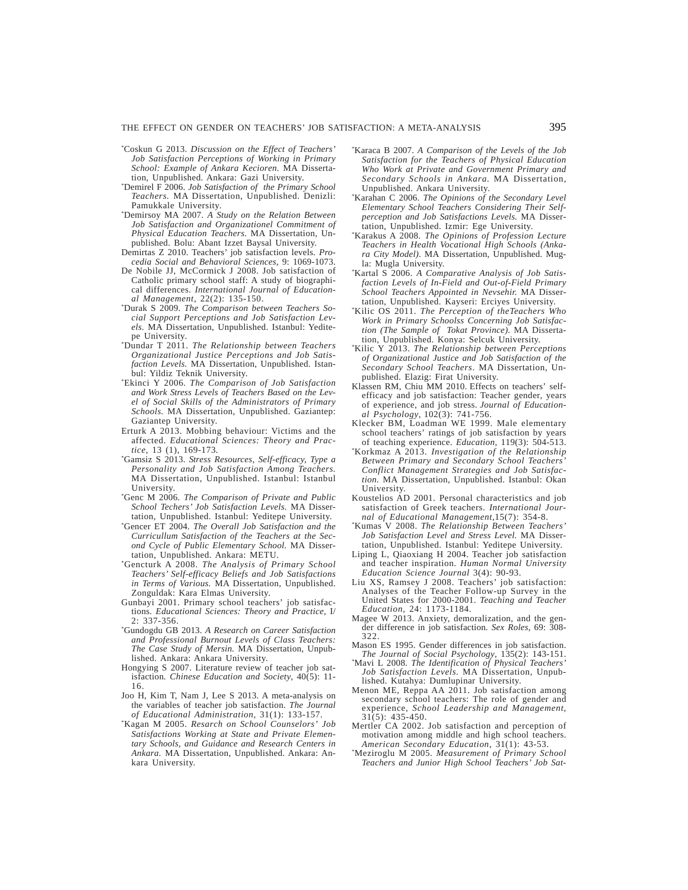- \* Coskun G 2013. *Discussion on the Effect of Teachers' Job Satisfaction Perceptions of Working in Primary School: Example of Ankara Kecioren.* MA Dissertation, Unpublished. Ankara: Gazi University.
- \* Demirel F 2006. *Job Satisfaction of the Primary School Teachers.* MA Dissertation, Unpublished. Denizli: Pamukkale University.
- \* Demirsoy MA 2007. *A Study on the Relation Between Job Satisfaction and Organizationel Commitment of Physical Education Teachers.* MA Dissertation, Unpublished. Bolu: Abant Izzet Baysal University.
- Demirtas Z 2010. Teachers' job satisfaction levels. *Procedia Social and Behavioral Sciences*, 9: 1069-1073.
- De Nobile JJ, McCormick J 2008. Job satisfaction of Catholic primary school staff: A study of biographical differences. *International Journal of Educational Management*, 22(2): 135-150.
- \* Durak S 2009. *The Comparison between Teachers Social Support Perceptions and Job Satisfaction Levels.* MA Dissertation, Unpublished. Istanbul: Yeditepe University.
- \* Dundar T 2011. *The Relationship between Teachers Organizational Justice Perceptions and Job Satisfaction Levels.* MA Dissertation, Unpublished. Istanbul: Yildiz Teknik University.
- \* Ekinci Y 2006. *The Comparison of Job Satisfaction and Work Stress Levels of Teachers Based on the Level of Social Skills of the Administrators of Primary Schools.* MA Dissertation, Unpublished. Gaziantep: Gaziantep University.
- Erturk A 2013. Mobbing behaviour: Victims and the affected. *Educational Sciences: Theory and Practice,* 13 (1), 169-173*.*
- \* Gamsiz S 2013. *Stress Resources, Self-efficacy, Type a Personality and Job Satisfaction Among Teachers.* MA Dissertation, Unpublished. Istanbul: Istanbul University.
- \* Genc M 2006. *The Comparison of Private and Public School Techers' Job Satisfaction Levels.* MA Dissertation, Unpublished. Istanbul: Yeditepe University.
- \* Gencer ET 2004. *The Overall Job Satisfaction and the Curricullum Satisfaction of the Teachers at the Second Cycle of Public Elementary School.* MA Dissertation, Unpublished. Ankara: METU.
- \*Gencturk A 2008. *The Analysis of Primary School Teachers' Self-efficacy Beliefs and Job Satisfactions in Terms of Various.* MA Dissertation, Unpublished. Zonguldak: Kara Elmas University.
- Gunbayi 2001. Primary school teachers' job satisfactions*. Educational Sciences: Theory and Practice,* I/ 2: 337-356.
- \* Gundogdu GB 2013. *A Research on Career Satisfaction and Professional Burnout Levels of Class Teachers: The Case Study of Mersin.* MA Dissertation, Unpublished. Ankara: Ankara University.
- Hongying S 2007. Literature review of teacher job satisfaction*. Chinese Education and Society*, 40(5): 11- 16.
- Joo H, Kim T, Nam J, Lee S 2013. A meta-analysis on the variables of teacher job satisfaction. *The Journal of Educational Administration*, 31(1): 133-157.
- \* Kagan M 2005. *Resarch on School Counselors' Job Satisfactions Working at State and Private Elementary Schools, and Guidance and Research Centers in Ankara.* MA Dissertation, Unpublished. Ankara: Ankara University.
- \* Karaca B 2007. *A Comparison of the Levels of the Job Satisfaction for the Teachers of Physical Education Who Work at Private and Government Primary and Secondary Schools in Ankara.* MA Dissertation, Unpublished. Ankara University.
- \* Karahan C 2006. *The Opinions of the Secondary Level Elementary School Teachers Considering Their Selfperception and Job Satisfactions Levels.* MA Dissertation, Unpublished. Izmir: Ege University.
- \* Karakus A 2008. *The Opinions of Profession Lecture Teachers in Health Vocational High Schools (Ankara City Model)*. MA Dissertation, Unpublished. Mugla: Mugla University.
- \* Kartal S 2006. *A Comparative Analysis of Job Satisfaction Levels of In-Field and Out-of-Field Primary School Teachers Appointed in Nevsehir.* MA Dissertation, Unpublished. Kayseri: Erciyes University.
- \* Kilic OS 2011. *The Perception of theTeachers Who Work in Primary Schoolss Concerning Job Satisfaction (The Sample of Tokat Province).* MA Dissertation, Unpublished. Konya: Selcuk University.
- \* Kilic Y 2013. *The Relationship between Perceptions of Organizational Justice and Job Satisfaction of the Secondary School Teachers*. MA Dissertation, Unpublished. Elazig: Firat University.
- Klassen RM, Chiu MM 2010. Effects on teachers' selfefficacy and job satisfaction: Teacher gender, years of experience, and job stress. *Journal of Educational Psychology*, 102(3): 741-756.
- Klecker BM, Loadman WE 1999. Male elementary school teachers' ratings of job satisfaction by years of teaching experience. *Education*, 119(3): 504-513.
- \* Korkmaz A 2013. *Investigation of the Relationship Between Primary and Secondary School Teachers' Conflict Management Strategies and Job Satisfaction.* MA Dissertation, Unpublished. Istanbul: Okan University.
- Koustelios AD 2001. Personal characteristics and job satisfaction of Greek teachers. *International Journal of Educational Management*,15(7): 354-8.
- \* Kumas V 2008. *The Relationship Between Teachers' Job Satisfaction Level and Stress Level.* MA Dissertation, Unpublished. Istanbul: Yeditepe University.
- Liping L, Qiaoxiang H 2004. Teacher job satisfaction and teacher inspiration. *Human Normal University Education Science Journal* 3(4): 90-93.
- Liu XS, Ramsey J 2008. Teachers' job satisfaction: Analyses of the Teacher Follow-up Survey in the United States for 2000-2001. *Teaching and Teacher Education,* 24: 1173-1184.
- Magee W 2013. Anxiety, demoralization, and the gender difference in job satisfaction*. Sex Roles*, 69: 308- 322.
- Mason ES 1995. Gender differences in job satisfaction.
- *The Journal of Social Psychology*, 135(2): 143-151. \* Mavi L 2008. *The Identification of Physical Teachers' Job Satisfaction Levels.* MA Dissertation, Unpublished. Kutahya: Dumlupinar University.
- Menon ME, Reppa AA 2011. Job satisfaction among secondary school teachers: The role of gender and experience, *School Leadership and Management*,  $31(5): 435-450.$
- Mertler CA 2002. Job satisfaction and perception of motivation among middle and high school teachers. *American Secondary Education*, 31(1): 43-53.
- \* Meziroglu M 2005. *Measurement of Primary School Teachers and Junior High School Teachers' Job Sat-*